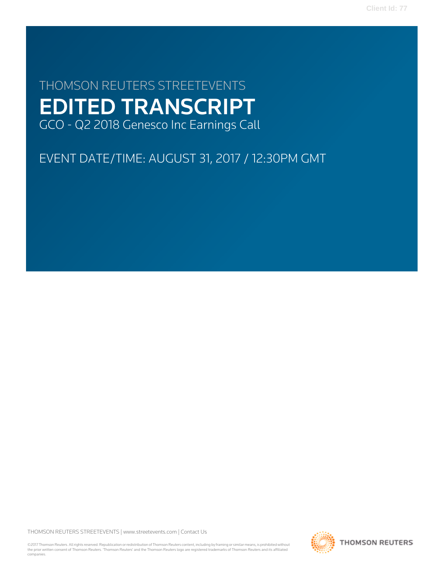# THOMSON REUTERS STREETEVENTS EDITED TRANSCRIPT GCO - Q2 2018 Genesco Inc Earnings Call

EVENT DATE/TIME: AUGUST 31, 2017 / 12:30PM GMT

THOMSON REUTERS STREETEVENTS | [www.streetevents.com](http://www.streetevents.com) | [Contact Us](http://www010.streetevents.com/contact.asp)

©2017 Thomson Reuters. All rights reserved. Republication or redistribution of Thomson Reuters content, including by framing or similar means, is prohibited without the prior written consent of Thomson Reuters. 'Thomson Reuters' and the Thomson Reuters logo are registered trademarks of Thomson Reuters and its affiliated companies.

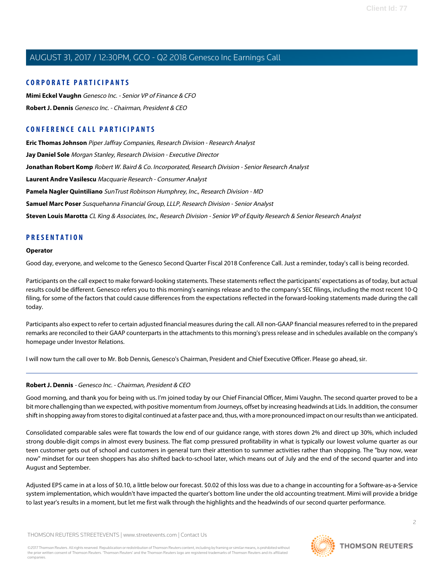# **CORPORATE PARTICIPANTS**

**[Mimi Eckel Vaughn](#page-3-0)** Genesco Inc. - Senior VP of Finance & CFO **[Robert J. Dennis](#page-1-0)** Genesco Inc. - Chairman, President & CEO

# **CONFERENCE CALL PARTICIPANTS**

**[Eric Thomas Johnson](#page-9-0)** Piper Jaffray Companies, Research Division - Research Analyst

**[Jay Daniel Sole](#page-8-0)** Morgan Stanley, Research Division - Executive Director

**[Jonathan Robert Komp](#page-11-0)** Robert W. Baird & Co. Incorporated, Research Division - Senior Research Analyst

**[Laurent Andre Vasilescu](#page-10-0)** Macquarie Research - Consumer Analyst

**[Pamela Nagler Quintiliano](#page-7-0)** SunTrust Robinson Humphrey, Inc., Research Division - MD

**[Samuel Marc Poser](#page-11-1)** Susquehanna Financial Group, LLLP, Research Division - Senior Analyst

**[Steven Louis Marotta](#page-8-1)** CL King & Associates, Inc., Research Division - Senior VP of Equity Research & Senior Research Analyst

# **PRESENTATION**

## **Operator**

Good day, everyone, and welcome to the Genesco Second Quarter Fiscal 2018 Conference Call. Just a reminder, today's call is being recorded.

Participants on the call expect to make forward-looking statements. These statements reflect the participants' expectations as of today, but actual results could be different. Genesco refers you to this morning's earnings release and to the company's SEC filings, including the most recent 10-Q filing, for some of the factors that could cause differences from the expectations reflected in the forward-looking statements made during the call today.

Participants also expect to refer to certain adjusted financial measures during the call. All non-GAAP financial measures referred to in the prepared remarks are reconciled to their GAAP counterparts in the attachments to this morning's press release and in schedules available on the company's homepage under Investor Relations.

<span id="page-1-0"></span>I will now turn the call over to Mr. Bob Dennis, Genesco's Chairman, President and Chief Executive Officer. Please go ahead, sir.

# **Robert J. Dennis** - Genesco Inc. - Chairman, President & CEO

Good morning, and thank you for being with us. I'm joined today by our Chief Financial Officer, Mimi Vaughn. The second quarter proved to be a bit more challenging than we expected, with positive momentum from Journeys, offset by increasing headwinds at Lids. In addition, the consumer shift in shopping away from stores to digital continued at a faster pace and, thus, with a more pronounced impact on our results than we anticipated.

Consolidated comparable sales were flat towards the low end of our guidance range, with stores down 2% and direct up 30%, which included strong double-digit comps in almost every business. The flat comp pressured profitability in what is typically our lowest volume quarter as our teen customer gets out of school and customers in general turn their attention to summer activities rather than shopping. The "buy now, wear now" mindset for our teen shoppers has also shifted back-to-school later, which means out of July and the end of the second quarter and into August and September.

Adjusted EPS came in at a loss of \$0.10, a little below our forecast. \$0.02 of this loss was due to a change in accounting for a Software-as-a-Service system implementation, which wouldn't have impacted the quarter's bottom line under the old accounting treatment. Mimi will provide a bridge to last year's results in a moment, but let me first walk through the highlights and the headwinds of our second quarter performance.

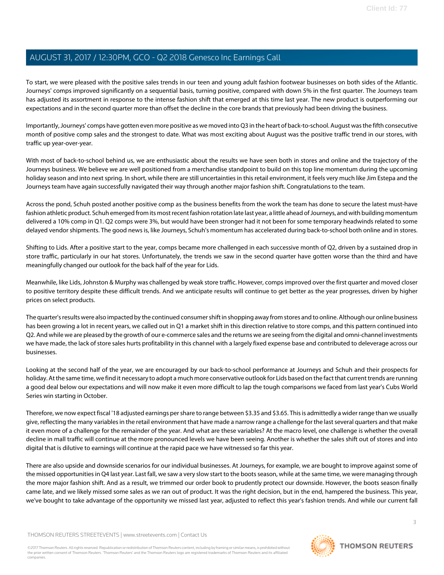To start, we were pleased with the positive sales trends in our teen and young adult fashion footwear businesses on both sides of the Atlantic. Journeys' comps improved significantly on a sequential basis, turning positive, compared with down 5% in the first quarter. The Journeys team has adjusted its assortment in response to the intense fashion shift that emerged at this time last year. The new product is outperforming our expectations and in the second quarter more than offset the decline in the core brands that previously had been driving the business.

Importantly, Journeys' comps have gotten even more positive as we moved into Q3 in the heart of back-to-school. August was the fifth consecutive month of positive comp sales and the strongest to date. What was most exciting about August was the positive traffic trend in our stores, with traffic up year-over-year.

With most of back-to-school behind us, we are enthusiastic about the results we have seen both in stores and online and the trajectory of the Journeys business. We believe we are well positioned from a merchandise standpoint to build on this top line momentum during the upcoming holiday season and into next spring. In short, while there are still uncertainties in this retail environment, it feels very much like Jim Estepa and the Journeys team have again successfully navigated their way through another major fashion shift. Congratulations to the team.

Across the pond, Schuh posted another positive comp as the business benefits from the work the team has done to secure the latest must-have fashion athletic product. Schuh emerged from its most recent fashion rotation late last year, a little ahead of Journeys, and with building momentum delivered a 10% comp in Q1. Q2 comps were 3%, but would have been stronger had it not been for some temporary headwinds related to some delayed vendor shipments. The good news is, like Journeys, Schuh's momentum has accelerated during back-to-school both online and in stores.

Shifting to Lids. After a positive start to the year, comps became more challenged in each successive month of Q2, driven by a sustained drop in store traffic, particularly in our hat stores. Unfortunately, the trends we saw in the second quarter have gotten worse than the third and have meaningfully changed our outlook for the back half of the year for Lids.

Meanwhile, like Lids, Johnston & Murphy was challenged by weak store traffic. However, comps improved over the first quarter and moved closer to positive territory despite these difficult trends. And we anticipate results will continue to get better as the year progresses, driven by higher prices on select products.

The quarter's results were also impacted by the continued consumer shift in shopping away from stores and to online. Although our online business has been growing a lot in recent years, we called out in Q1 a market shift in this direction relative to store comps, and this pattern continued into Q2. And while we are pleased by the growth of our e-commerce sales and the returns we are seeing from the digital and omni-channel investments we have made, the lack of store sales hurts profitability in this channel with a largely fixed expense base and contributed to deleverage across our businesses.

Looking at the second half of the year, we are encouraged by our back-to-school performance at Journeys and Schuh and their prospects for holiday. At the same time, we find it necessary to adopt a much more conservative outlook for Lids based on the fact that current trends are running a good deal below our expectations and will now make it even more difficult to lap the tough comparisons we faced from last year's Cubs World Series win starting in October.

Therefore, we now expect fiscal '18 adjusted earnings per share to range between \$3.35 and \$3.65. This is admittedly a wider range than we usually give, reflecting the many variables in the retail environment that have made a narrow range a challenge for the last several quarters and that make it even more of a challenge for the remainder of the year. And what are these variables? At the macro level, one challenge is whether the overall decline in mall traffic will continue at the more pronounced levels we have been seeing. Another is whether the sales shift out of stores and into digital that is dilutive to earnings will continue at the rapid pace we have witnessed so far this year.

There are also upside and downside scenarios for our individual businesses. At Journeys, for example, we are bought to improve against some of the missed opportunities in Q4 last year. Last fall, we saw a very slow start to the boots season, while at the same time, we were managing through the more major fashion shift. And as a result, we trimmed our order book to prudently protect our downside. However, the boots season finally came late, and we likely missed some sales as we ran out of product. It was the right decision, but in the end, hampered the business. This year, we've bought to take advantage of the opportunity we missed last year, adjusted to reflect this year's fashion trends. And while our current fall

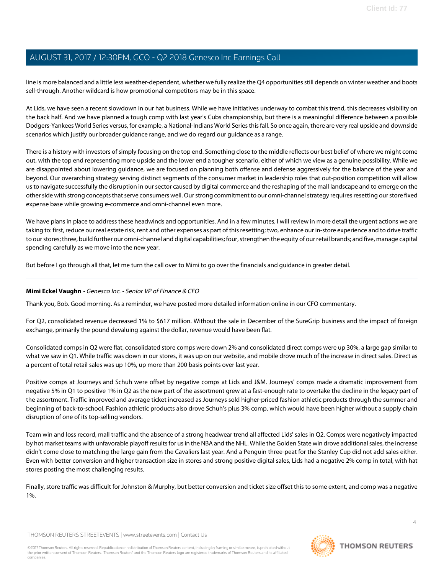line is more balanced and a little less weather-dependent, whether we fully realize the Q4 opportunities still depends on winter weather and boots sell-through. Another wildcard is how promotional competitors may be in this space.

At Lids, we have seen a recent slowdown in our hat business. While we have initiatives underway to combat this trend, this decreases visibility on the back half. And we have planned a tough comp with last year's Cubs championship, but there is a meaningful difference between a possible Dodgers-Yankees World Series versus, for example, a National-Indians World Series this fall. So once again, there are very real upside and downside scenarios which justify our broader guidance range, and we do regard our guidance as a range.

There is a history with investors of simply focusing on the top end. Something close to the middle reflects our best belief of where we might come out, with the top end representing more upside and the lower end a tougher scenario, either of which we view as a genuine possibility. While we are disappointed about lowering guidance, we are focused on planning both offense and defense aggressively for the balance of the year and beyond. Our overarching strategy serving distinct segments of the consumer market in leadership roles that out-position competition will allow us to navigate successfully the disruption in our sector caused by digital commerce and the reshaping of the mall landscape and to emerge on the other side with strong concepts that serve consumers well. Our strong commitment to our omni-channel strategy requires resetting our store fixed expense base while growing e-commerce and omni-channel even more.

We have plans in place to address these headwinds and opportunities. And in a few minutes, I will review in more detail the urgent actions we are taking to: first, reduce our real estate risk, rent and other expenses as part of this resetting; two, enhance our in-store experience and to drive traffic to our stores; three, build further our omni-channel and digital capabilities; four, strengthen the equity of our retail brands; and five, manage capital spending carefully as we move into the new year.

<span id="page-3-0"></span>But before I go through all that, let me turn the call over to Mimi to go over the financials and guidance in greater detail.

# **Mimi Eckel Vaughn** - Genesco Inc. - Senior VP of Finance & CFO

Thank you, Bob. Good morning. As a reminder, we have posted more detailed information online in our CFO commentary.

For Q2, consolidated revenue decreased 1% to \$617 million. Without the sale in December of the SureGrip business and the impact of foreign exchange, primarily the pound devaluing against the dollar, revenue would have been flat.

Consolidated comps in Q2 were flat, consolidated store comps were down 2% and consolidated direct comps were up 30%, a large gap similar to what we saw in Q1. While traffic was down in our stores, it was up on our website, and mobile drove much of the increase in direct sales. Direct as a percent of total retail sales was up 10%, up more than 200 basis points over last year.

Positive comps at Journeys and Schuh were offset by negative comps at Lids and J&M. Journeys' comps made a dramatic improvement from negative 5% in Q1 to positive 1% in Q2 as the new part of the assortment grew at a fast-enough rate to overtake the decline in the legacy part of the assortment. Traffic improved and average ticket increased as Journeys sold higher-priced fashion athletic products through the summer and beginning of back-to-school. Fashion athletic products also drove Schuh's plus 3% comp, which would have been higher without a supply chain disruption of one of its top-selling vendors.

Team win and loss record, mall traffic and the absence of a strong headwear trend all affected Lids' sales in Q2. Comps were negatively impacted by hot market teams with unfavorable playoff results for us in the NBA and the NHL. While the Golden State win drove additional sales, the increase didn't come close to matching the large gain from the Cavaliers last year. And a Penguin three-peat for the Stanley Cup did not add sales either. Even with better conversion and higher transaction size in stores and strong positive digital sales, Lids had a negative 2% comp in total, with hat stores posting the most challenging results.

Finally, store traffic was difficult for Johnston & Murphy, but better conversion and ticket size offset this to some extent, and comp was a negative 1%.

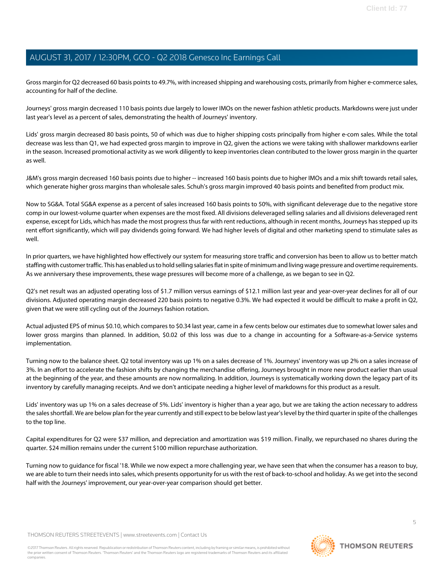Gross margin for Q2 decreased 60 basis points to 49.7%, with increased shipping and warehousing costs, primarily from higher e-commerce sales, accounting for half of the decline.

Journeys' gross margin decreased 110 basis points due largely to lower IMOs on the newer fashion athletic products. Markdowns were just under last year's level as a percent of sales, demonstrating the health of Journeys' inventory.

Lids' gross margin decreased 80 basis points, 50 of which was due to higher shipping costs principally from higher e-com sales. While the total decrease was less than Q1, we had expected gross margin to improve in Q2, given the actions we were taking with shallower markdowns earlier in the season. Increased promotional activity as we work diligently to keep inventories clean contributed to the lower gross margin in the quarter as well.

J&M's gross margin decreased 160 basis points due to higher -- increased 160 basis points due to higher IMOs and a mix shift towards retail sales, which generate higher gross margins than wholesale sales. Schuh's gross margin improved 40 basis points and benefited from product mix.

Now to SG&A. Total SG&A expense as a percent of sales increased 160 basis points to 50%, with significant deleverage due to the negative store comp in our lowest-volume quarter when expenses are the most fixed. All divisions deleveraged selling salaries and all divisions deleveraged rent expense, except for Lids, which has made the most progress thus far with rent reductions, although in recent months, Journeys has stepped up its rent effort significantly, which will pay dividends going forward. We had higher levels of digital and other marketing spend to stimulate sales as well.

In prior quarters, we have highlighted how effectively our system for measuring store traffic and conversion has been to allow us to better match staffing with customer traffic. This has enabled us to hold selling salaries flat in spite of minimum and living wage pressure and overtime requirements. As we anniversary these improvements, these wage pressures will become more of a challenge, as we began to see in Q2.

Q2's net result was an adjusted operating loss of \$1.7 million versus earnings of \$12.1 million last year and year-over-year declines for all of our divisions. Adjusted operating margin decreased 220 basis points to negative 0.3%. We had expected it would be difficult to make a profit in Q2, given that we were still cycling out of the Journeys fashion rotation.

Actual adjusted EPS of minus \$0.10, which compares to \$0.34 last year, came in a few cents below our estimates due to somewhat lower sales and lower gross margins than planned. In addition, \$0.02 of this loss was due to a change in accounting for a Software-as-a-Service systems implementation.

Turning now to the balance sheet. Q2 total inventory was up 1% on a sales decrease of 1%. Journeys' inventory was up 2% on a sales increase of 3%. In an effort to accelerate the fashion shifts by changing the merchandise offering, Journeys brought in more new product earlier than usual at the beginning of the year, and these amounts are now normalizing. In addition, Journeys is systematically working down the legacy part of its inventory by carefully managing receipts. And we don't anticipate needing a higher level of markdowns for this product as a result.

Lids' inventory was up 1% on a sales decrease of 5%. Lids' inventory is higher than a year ago, but we are taking the action necessary to address the sales shortfall. We are below plan for the year currently and still expect to be below last year's level by the third quarter in spite of the challenges to the top line.

Capital expenditures for Q2 were \$37 million, and depreciation and amortization was \$19 million. Finally, we repurchased no shares during the quarter. \$24 million remains under the current \$100 million repurchase authorization.

Turning now to guidance for fiscal '18. While we now expect a more challenging year, we have seen that when the consumer has a reason to buy, we are able to turn their needs into sales, which presents opportunity for us with the rest of back-to-school and holiday. As we get into the second half with the Journeys' improvement, our year-over-year comparison should get better.

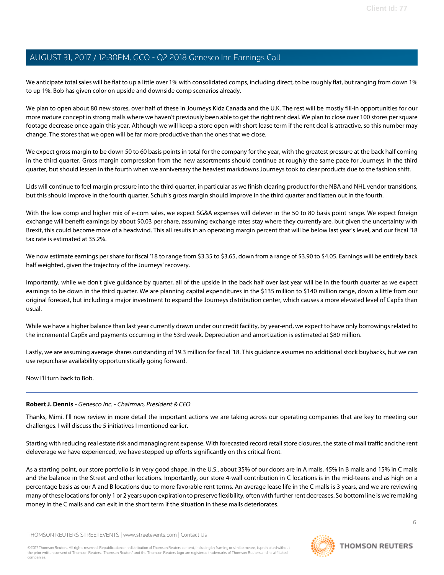We anticipate total sales will be flat to up a little over 1% with consolidated comps, including direct, to be roughly flat, but ranging from down 1% to up 1%. Bob has given color on upside and downside comp scenarios already.

We plan to open about 80 new stores, over half of these in Journeys Kidz Canada and the U.K. The rest will be mostly fill-in opportunities for our more mature concept in strong malls where we haven't previously been able to get the right rent deal. We plan to close over 100 stores per square footage decrease once again this year. Although we will keep a store open with short lease term if the rent deal is attractive, so this number may change. The stores that we open will be far more productive than the ones that we close.

We expect gross margin to be down 50 to 60 basis points in total for the company for the year, with the greatest pressure at the back half coming in the third quarter. Gross margin compression from the new assortments should continue at roughly the same pace for Journeys in the third quarter, but should lessen in the fourth when we anniversary the heaviest markdowns Journeys took to clear products due to the fashion shift.

Lids will continue to feel margin pressure into the third quarter, in particular as we finish clearing product for the NBA and NHL vendor transitions, but this should improve in the fourth quarter. Schuh's gross margin should improve in the third quarter and flatten out in the fourth.

With the low comp and higher mix of e-com sales, we expect SG&A expenses will delever in the 50 to 80 basis point range. We expect foreign exchange will benefit earnings by about \$0.03 per share, assuming exchange rates stay where they currently are, but given the uncertainty with Brexit, this could become more of a headwind. This all results in an operating margin percent that will be below last year's level, and our fiscal '18 tax rate is estimated at 35.2%.

We now estimate earnings per share for fiscal '18 to range from \$3.35 to \$3.65, down from a range of \$3.90 to \$4.05. Earnings will be entirely back half weighted, given the trajectory of the Journeys' recovery.

Importantly, while we don't give guidance by quarter, all of the upside in the back half over last year will be in the fourth quarter as we expect earnings to be down in the third quarter. We are planning capital expenditures in the \$135 million to \$140 million range, down a little from our original forecast, but including a major investment to expand the Journeys distribution center, which causes a more elevated level of CapEx than usual.

While we have a higher balance than last year currently drawn under our credit facility, by year-end, we expect to have only borrowings related to the incremental CapEx and payments occurring in the 53rd week. Depreciation and amortization is estimated at \$80 million.

Lastly, we are assuming average shares outstanding of 19.3 million for fiscal '18. This guidance assumes no additional stock buybacks, but we can use repurchase availability opportunistically going forward.

Now I'll turn back to Bob.

# **Robert J. Dennis** - Genesco Inc. - Chairman, President & CEO

Thanks, Mimi. I'll now review in more detail the important actions we are taking across our operating companies that are key to meeting our challenges. I will discuss the 5 initiatives I mentioned earlier.

Starting with reducing real estate risk and managing rent expense. With forecasted record retail store closures, the state of mall traffic and the rent deleverage we have experienced, we have stepped up efforts significantly on this critical front.

As a starting point, our store portfolio is in very good shape. In the U.S., about 35% of our doors are in A malls, 45% in B malls and 15% in C malls and the balance in the Street and other locations. Importantly, our store 4-wall contribution in C locations is in the mid-teens and as high on a percentage basis as our A and B locations due to more favorable rent terms. An average lease life in the C malls is 3 years, and we are reviewing many of these locations for only 1 or 2 years upon expiration to preserve flexibility, often with further rent decreases. So bottom line is we're making money in the C malls and can exit in the short term if the situation in these malls deteriorates.

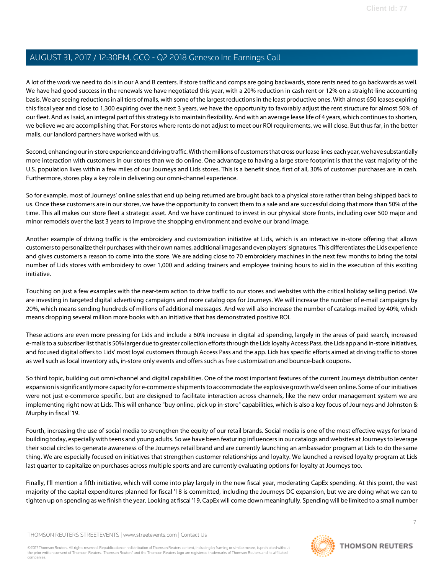A lot of the work we need to do is in our A and B centers. If store traffic and comps are going backwards, store rents need to go backwards as well. We have had good success in the renewals we have negotiated this year, with a 20% reduction in cash rent or 12% on a straight-line accounting basis. We are seeing reductions in all tiers of malls, with some of the largest reductions in the least productive ones. With almost 650 leases expiring this fiscal year and close to 1,300 expiring over the next 3 years, we have the opportunity to favorably adjust the rent structure for almost 50% of our fleet. And as I said, an integral part of this strategy is to maintain flexibility. And with an average lease life of 4 years, which continues to shorten, we believe we are accomplishing that. For stores where rents do not adjust to meet our ROI requirements, we will close. But thus far, in the better malls, our landlord partners have worked with us.

Second, enhancing our in-store experience and driving traffic. With the millions of customers that cross our lease lines each year, we have substantially more interaction with customers in our stores than we do online. One advantage to having a large store footprint is that the vast majority of the U.S. population lives within a few miles of our Journeys and Lids stores. This is a benefit since, first of all, 30% of customer purchases are in cash. Furthermore, stores play a key role in delivering our omni-channel experience.

So for example, most of Journeys' online sales that end up being returned are brought back to a physical store rather than being shipped back to us. Once these customers are in our stores, we have the opportunity to convert them to a sale and are successful doing that more than 50% of the time. This all makes our store fleet a strategic asset. And we have continued to invest in our physical store fronts, including over 500 major and minor remodels over the last 3 years to improve the shopping environment and evolve our brand image.

Another example of driving traffic is the embroidery and customization initiative at Lids, which is an interactive in-store offering that allows customers to personalize their purchases with their own names, additional images and even players' signatures. This differentiates the Lids experience and gives customers a reason to come into the store. We are adding close to 70 embroidery machines in the next few months to bring the total number of Lids stores with embroidery to over 1,000 and adding trainers and employee training hours to aid in the execution of this exciting initiative.

Touching on just a few examples with the near-term action to drive traffic to our stores and websites with the critical holiday selling period. We are investing in targeted digital advertising campaigns and more catalog ops for Journeys. We will increase the number of e-mail campaigns by 20%, which means sending hundreds of millions of additional messages. And we will also increase the number of catalogs mailed by 40%, which means dropping several million more books with an initiative that has demonstrated positive ROI.

These actions are even more pressing for Lids and include a 60% increase in digital ad spending, largely in the areas of paid search, increased e-mails to a subscriber list that is 50% larger due to greater collection efforts through the Lids loyalty Access Pass, the Lids app and in-store initiatives, and focused digital offers to Lids' most loyal customers through Access Pass and the app. Lids has specific efforts aimed at driving traffic to stores as well such as local inventory ads, in-store only events and offers such as free customization and bounce-back coupons.

So third topic, building out omni-channel and digital capabilities. One of the most important features of the current Journeys distribution center expansion is significantly more capacity for e-commerce shipments to accommodate the explosive growth we'd seen online. Some of our initiatives were not just e-commerce specific, but are designed to facilitate interaction across channels, like the new order management system we are implementing right now at Lids. This will enhance "buy online, pick up in-store" capabilities, which is also a key focus of Journeys and Johnston & Murphy in fiscal '19.

Fourth, increasing the use of social media to strengthen the equity of our retail brands. Social media is one of the most effective ways for brand building today, especially with teens and young adults. So we have been featuring influencers in our catalogs and websites at Journeys to leverage their social circles to generate awareness of the Journeys retail brand and are currently launching an ambassador program at Lids to do the same thing. We are especially focused on initiatives that strengthen customer relationships and loyalty. We launched a revised loyalty program at Lids last quarter to capitalize on purchases across multiple sports and are currently evaluating options for loyalty at Journeys too.

Finally, I'll mention a fifth initiative, which will come into play largely in the new fiscal year, moderating CapEx spending. At this point, the vast majority of the capital expenditures planned for fiscal '18 is committed, including the Journeys DC expansion, but we are doing what we can to tighten up on spending as we finish the year. Looking at fiscal '19, CapEx will come down meaningfully. Spending will be limited to a small number

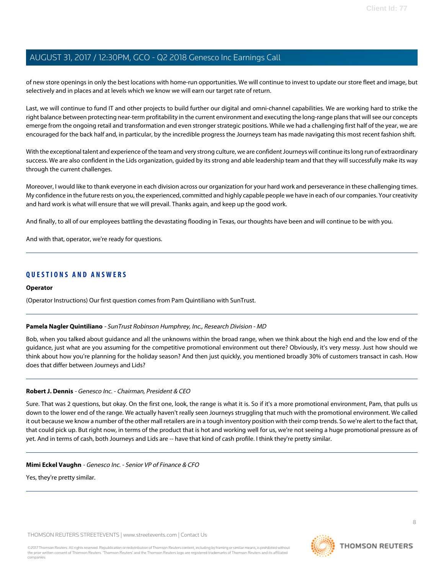of new store openings in only the best locations with home-run opportunities. We will continue to invest to update our store fleet and image, but selectively and in places and at levels which we know we will earn our target rate of return.

Last, we will continue to fund IT and other projects to build further our digital and omni-channel capabilities. We are working hard to strike the right balance between protecting near-term profitability in the current environment and executing the long-range plans that will see our concepts emerge from the ongoing retail and transformation and even stronger strategic positions. While we had a challenging first half of the year, we are encouraged for the back half and, in particular, by the incredible progress the Journeys team has made navigating this most recent fashion shift.

With the exceptional talent and experience of the team and very strong culture, we are confident Journeys will continue its long run of extraordinary success. We are also confident in the Lids organization, guided by its strong and able leadership team and that they will successfully make its way through the current challenges.

Moreover, I would like to thank everyone in each division across our organization for your hard work and perseverance in these challenging times. My confidence in the future rests on you, the experienced, committed and highly capable people we have in each of our companies. Your creativity and hard work is what will ensure that we will prevail. Thanks again, and keep up the good work.

And finally, to all of our employees battling the devastating flooding in Texas, our thoughts have been and will continue to be with you.

And with that, operator, we're ready for questions.

# **QUESTIONS AND ANSWERS**

## **Operator**

<span id="page-7-0"></span>(Operator Instructions) Our first question comes from Pam Quintiliano with SunTrust.

## **Pamela Nagler Quintiliano** - SunTrust Robinson Humphrey, Inc., Research Division - MD

Bob, when you talked about guidance and all the unknowns within the broad range, when we think about the high end and the low end of the guidance, just what are you assuming for the competitive promotional environment out there? Obviously, it's very messy. Just how should we think about how you're planning for the holiday season? And then just quickly, you mentioned broadly 30% of customers transact in cash. How does that differ between Journeys and Lids?

# **Robert J. Dennis** - Genesco Inc. - Chairman, President & CEO

Sure. That was 2 questions, but okay. On the first one, look, the range is what it is. So if it's a more promotional environment, Pam, that pulls us down to the lower end of the range. We actually haven't really seen Journeys struggling that much with the promotional environment. We called it out because we know a number of the other mall retailers are in a tough inventory position with their comp trends. So we're alert to the fact that, that could pick up. But right now, in terms of the product that is hot and working well for us, we're not seeing a huge promotional pressure as of yet. And in terms of cash, both Journeys and Lids are -- have that kind of cash profile. I think they're pretty similar.

# **Mimi Eckel Vaughn** - Genesco Inc. - Senior VP of Finance & CFO

Yes, they're pretty similar.

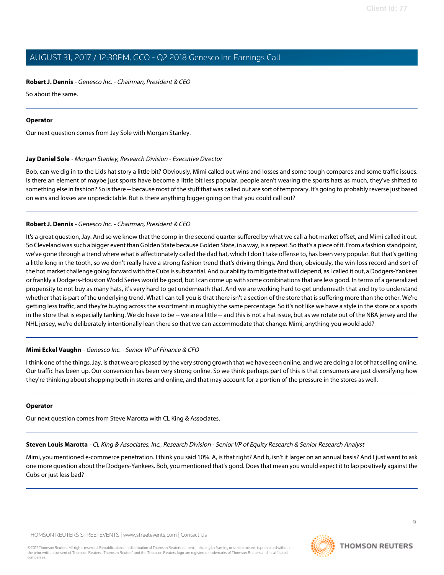# **Robert J. Dennis** - Genesco Inc. - Chairman, President & CEO

So about the same.

## **Operator**

<span id="page-8-0"></span>Our next question comes from Jay Sole with Morgan Stanley.

## **Jay Daniel Sole** - Morgan Stanley, Research Division - Executive Director

Bob, can we dig in to the Lids hat story a little bit? Obviously, Mimi called out wins and losses and some tough compares and some traffic issues. Is there an element of maybe just sports have become a little bit less popular, people aren't wearing the sports hats as much, they've shifted to something else in fashion? So is there -- because most of the stuff that was called out are sort of temporary. It's going to probably reverse just based on wins and losses are unpredictable. But is there anything bigger going on that you could call out?

# **Robert J. Dennis** - Genesco Inc. - Chairman, President & CEO

It's a great question, Jay. And so we know that the comp in the second quarter suffered by what we call a hot market offset, and Mimi called it out. So Cleveland was such a bigger event than Golden State because Golden State, in a way, is a repeat. So that's a piece of it. From a fashion standpoint, we've gone through a trend where what is affectionately called the dad hat, which I don't take offense to, has been very popular. But that's getting a little long in the tooth, so we don't really have a strong fashion trend that's driving things. And then, obviously, the win-loss record and sort of the hot market challenge going forward with the Cubs is substantial. And our ability to mitigate that will depend, as I called it out, a Dodgers-Yankees or frankly a Dodgers-Houston World Series would be good, but I can come up with some combinations that are less good. In terms of a generalized propensity to not buy as many hats, it's very hard to get underneath that. And we are working hard to get underneath that and try to understand whether that is part of the underlying trend. What I can tell you is that there isn't a section of the store that is suffering more than the other. We're getting less traffic, and they're buying across the assortment in roughly the same percentage. So it's not like we have a style in the store or a sports in the store that is especially tanking. We do have to be -- we are a little -- and this is not a hat issue, but as we rotate out of the NBA jersey and the NHL jersey, we're deliberately intentionally lean there so that we can accommodate that change. Mimi, anything you would add?

# **Mimi Eckel Vaughn** - Genesco Inc. - Senior VP of Finance & CFO

I think one of the things, Jay, is that we are pleased by the very strong growth that we have seen online, and we are doing a lot of hat selling online. Our traffic has been up. Our conversion has been very strong online. So we think perhaps part of this is that consumers are just diversifying how they're thinking about shopping both in stores and online, and that may account for a portion of the pressure in the stores as well.

## <span id="page-8-1"></span>**Operator**

Our next question comes from Steve Marotta with CL King & Associates.

**Steven Louis Marotta** - CL King & Associates, Inc., Research Division - Senior VP of Equity Research & Senior Research Analyst

Mimi, you mentioned e-commerce penetration. I think you said 10%. A, is that right? And b, isn't it larger on an annual basis? And I just want to ask one more question about the Dodgers-Yankees. Bob, you mentioned that's good. Does that mean you would expect it to lap positively against the Cubs or just less bad?

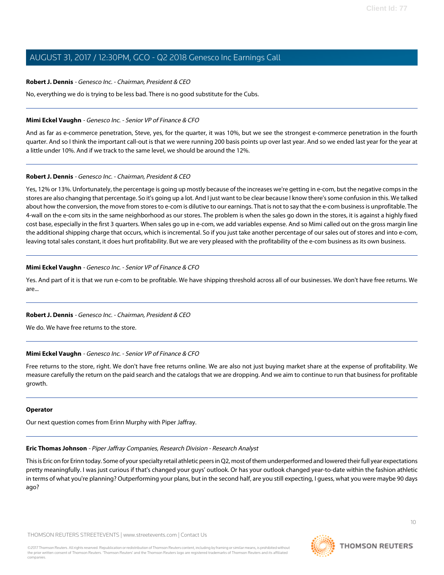# **Robert J. Dennis** - Genesco Inc. - Chairman, President & CEO

No, everything we do is trying to be less bad. There is no good substitute for the Cubs.

## **Mimi Eckel Vaughn** - Genesco Inc. - Senior VP of Finance & CFO

And as far as e-commerce penetration, Steve, yes, for the quarter, it was 10%, but we see the strongest e-commerce penetration in the fourth quarter. And so I think the important call-out is that we were running 200 basis points up over last year. And so we ended last year for the year at a little under 10%. And if we track to the same level, we should be around the 12%.

# **Robert J. Dennis** - Genesco Inc. - Chairman, President & CEO

Yes, 12% or 13%. Unfortunately, the percentage is going up mostly because of the increases we're getting in e-com, but the negative comps in the stores are also changing that percentage. So it's going up a lot. And I just want to be clear because I know there's some confusion in this. We talked about how the conversion, the move from stores to e-com is dilutive to our earnings. That is not to say that the e-com business is unprofitable. The 4-wall on the e-com sits in the same neighborhood as our stores. The problem is when the sales go down in the stores, it is against a highly fixed cost base, especially in the first 3 quarters. When sales go up in e-com, we add variables expense. And so Mimi called out on the gross margin line the additional shipping charge that occurs, which is incremental. So if you just take another percentage of our sales out of stores and into e-com, leaving total sales constant, it does hurt profitability. But we are very pleased with the profitability of the e-com business as its own business.

# **Mimi Eckel Vaughn** - Genesco Inc. - Senior VP of Finance & CFO

Yes. And part of it is that we run e-com to be profitable. We have shipping threshold across all of our businesses. We don't have free returns. We are...

## **Robert J. Dennis** - Genesco Inc. - Chairman, President & CEO

We do. We have free returns to the store.

# **Mimi Eckel Vaughn** - Genesco Inc. - Senior VP of Finance & CFO

Free returns to the store, right. We don't have free returns online. We are also not just buying market share at the expense of profitability. We measure carefully the return on the paid search and the catalogs that we are dropping. And we aim to continue to run that business for profitable growth.

## <span id="page-9-0"></span>**Operator**

Our next question comes from Erinn Murphy with Piper Jaffray.

# **Eric Thomas Johnson** - Piper Jaffray Companies, Research Division - Research Analyst

This is Eric on for Erinn today. Some of your specialty retail athletic peers in Q2, most of them underperformed and lowered their full year expectations pretty meaningfully. I was just curious if that's changed your guys' outlook. Or has your outlook changed year-to-date within the fashion athletic in terms of what you're planning? Outperforming your plans, but in the second half, are you still expecting, I guess, what you were maybe 90 days ago?

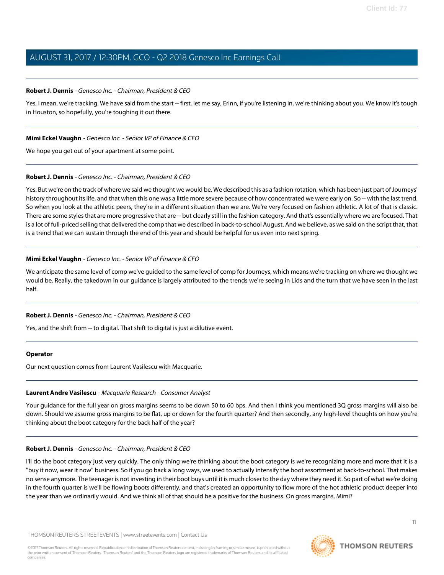## **Robert J. Dennis** - Genesco Inc. - Chairman, President & CEO

Yes, I mean, we're tracking. We have said from the start -- first, let me say, Erinn, if you're listening in, we're thinking about you. We know it's tough in Houston, so hopefully, you're toughing it out there.

# **Mimi Eckel Vaughn** - Genesco Inc. - Senior VP of Finance & CFO

We hope you get out of your apartment at some point.

# **Robert J. Dennis** - Genesco Inc. - Chairman, President & CEO

Yes. But we're on the track of where we said we thought we would be. We described this as a fashion rotation, which has been just part of Journeys' history throughout its life, and that when this one was a little more severe because of how concentrated we were early on. So -- with the last trend. So when you look at the athletic peers, they're in a different situation than we are. We're very focused on fashion athletic. A lot of that is classic. There are some styles that are more progressive that are -- but clearly still in the fashion category. And that's essentially where we are focused. That is a lot of full-priced selling that delivered the comp that we described in back-to-school August. And we believe, as we said on the script that, that is a trend that we can sustain through the end of this year and should be helpful for us even into next spring.

# **Mimi Eckel Vaughn** - Genesco Inc. - Senior VP of Finance & CFO

We anticipate the same level of comp we've guided to the same level of comp for Journeys, which means we're tracking on where we thought we would be. Really, the takedown in our guidance is largely attributed to the trends we're seeing in Lids and the turn that we have seen in the last half.

## **Robert J. Dennis** - Genesco Inc. - Chairman, President & CEO

Yes, and the shift from -- to digital. That shift to digital is just a dilutive event.

## <span id="page-10-0"></span>**Operator**

Our next question comes from Laurent Vasilescu with Macquarie.

## **Laurent Andre Vasilescu** - Macquarie Research - Consumer Analyst

Your guidance for the full year on gross margins seems to be down 50 to 60 bps. And then I think you mentioned 3Q gross margins will also be down. Should we assume gross margins to be flat, up or down for the fourth quarter? And then secondly, any high-level thoughts on how you're thinking about the boot category for the back half of the year?

## **Robert J. Dennis** - Genesco Inc. - Chairman, President & CEO

I'll do the boot category just very quickly. The only thing we're thinking about the boot category is we're recognizing more and more that it is a "buy it now, wear it now" business. So if you go back a long ways, we used to actually intensify the boot assortment at back-to-school. That makes no sense anymore. The teenager is not investing in their boot buys until it is much closer to the day where they need it. So part of what we're doing in the fourth quarter is we'll be flowing boots differently, and that's created an opportunity to flow more of the hot athletic product deeper into the year than we ordinarily would. And we think all of that should be a positive for the business. On gross margins, Mimi?

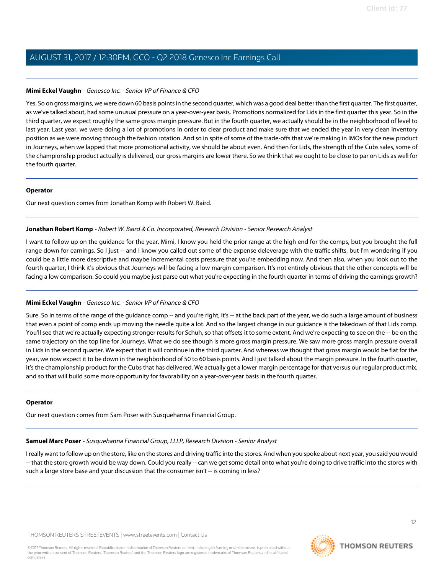# **Mimi Eckel Vaughn** - Genesco Inc. - Senior VP of Finance & CFO

Yes. So on gross margins, we were down 60 basis points in the second quarter, which was a good deal better than the first quarter. The first quarter, as we've talked about, had some unusual pressure on a year-over-year basis. Promotions normalized for Lids in the first quarter this year. So in the third quarter, we expect roughly the same gross margin pressure. But in the fourth quarter, we actually should be in the neighborhood of level to last year. Last year, we were doing a lot of promotions in order to clear product and make sure that we ended the year in very clean inventory position as we were moving through the fashion rotation. And so in spite of some of the trade-offs that we're making in IMOs for the new product in Journeys, when we lapped that more promotional activity, we should be about even. And then for Lids, the strength of the Cubs sales, some of the championship product actually is delivered, our gross margins are lower there. So we think that we ought to be close to par on Lids as well for the fourth quarter.

## **Operator**

<span id="page-11-0"></span>Our next question comes from Jonathan Komp with Robert W. Baird.

## **Jonathan Robert Komp** - Robert W. Baird & Co. Incorporated, Research Division - Senior Research Analyst

I want to follow up on the guidance for the year. Mimi, I know you held the prior range at the high end for the comps, but you brought the full range down for earnings. So I just -- and I know you called out some of the expense deleverage with the traffic shifts, but I'm wondering if you could be a little more descriptive and maybe incremental costs pressure that you're embedding now. And then also, when you look out to the fourth quarter, I think it's obvious that Journeys will be facing a low margin comparison. It's not entirely obvious that the other concepts will be facing a low comparison. So could you maybe just parse out what you're expecting in the fourth quarter in terms of driving the earnings growth?

# **Mimi Eckel Vaughn** - Genesco Inc. - Senior VP of Finance & CFO

Sure. So in terms of the range of the guidance comp -- and you're right, it's -- at the back part of the year, we do such a large amount of business that even a point of comp ends up moving the needle quite a lot. And so the largest change in our guidance is the takedown of that Lids comp. You'll see that we're actually expecting stronger results for Schuh, so that offsets it to some extent. And we're expecting to see on the -- be on the same trajectory on the top line for Journeys. What we do see though is more gross margin pressure. We saw more gross margin pressure overall in Lids in the second quarter. We expect that it will continue in the third quarter. And whereas we thought that gross margin would be flat for the year, we now expect it to be down in the neighborhood of 50 to 60 basis points. And I just talked about the margin pressure. In the fourth quarter, it's the championship product for the Cubs that has delivered. We actually get a lower margin percentage for that versus our regular product mix, and so that will build some more opportunity for favorability on a year-over-year basis in the fourth quarter.

## <span id="page-11-1"></span>**Operator**

Our next question comes from Sam Poser with Susquehanna Financial Group.

## **Samuel Marc Poser** - Susquehanna Financial Group, LLLP, Research Division - Senior Analyst

I really want to follow up on the store, like on the stores and driving traffic into the stores. And when you spoke about next year, you said you would -- that the store growth would be way down. Could you really -- can we get some detail onto what you're doing to drive traffic into the stores with such a large store base and your discussion that the consumer isn't -- is coming in less?

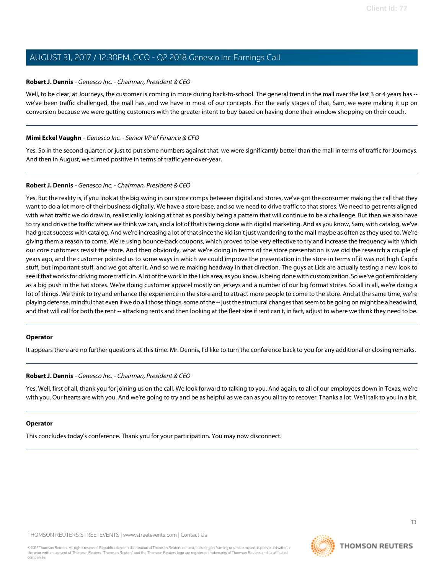## **Robert J. Dennis** - Genesco Inc. - Chairman, President & CEO

Well, to be clear, at Journeys, the customer is coming in more during back-to-school. The general trend in the mall over the last 3 or 4 years has -we've been traffic challenged, the mall has, and we have in most of our concepts. For the early stages of that, Sam, we were making it up on conversion because we were getting customers with the greater intent to buy based on having done their window shopping on their couch.

## **Mimi Eckel Vaughn** - Genesco Inc. - Senior VP of Finance & CFO

Yes. So in the second quarter, or just to put some numbers against that, we were significantly better than the mall in terms of traffic for Journeys. And then in August, we turned positive in terms of traffic year-over-year.

# **Robert J. Dennis** - Genesco Inc. - Chairman, President & CEO

Yes. But the reality is, if you look at the big swing in our store comps between digital and stores, we've got the consumer making the call that they want to do a lot more of their business digitally. We have a store base, and so we need to drive traffic to that stores. We need to get rents aligned with what traffic we do draw in, realistically looking at that as possibly being a pattern that will continue to be a challenge. But then we also have to try and drive the traffic where we think we can, and a lot of that is being done with digital marketing. And as you know, Sam, with catalog, we've had great success with catalog. And we're increasing a lot of that since the kid isn't just wandering to the mall maybe as often as they used to. We're giving them a reason to come. We're using bounce-back coupons, which proved to be very effective to try and increase the frequency with which our core customers revisit the store. And then obviously, what we're doing in terms of the store presentation is we did the research a couple of years ago, and the customer pointed us to some ways in which we could improve the presentation in the store in terms of it was not high CapEx stuff, but important stuff, and we got after it. And so we're making headway in that direction. The guys at Lids are actually testing a new look to see if that works for driving more traffic in. A lot of the work in the Lids area, as you know, is being done with customization. So we've got embroidery as a big push in the hat stores. We're doing customer apparel mostly on jerseys and a number of our big format stores. So all in all, we're doing a lot of things. We think to try and enhance the experience in the store and to attract more people to come to the store. And at the same time, we're playing defense, mindful that even if we do all those things, some of the -- just the structural changes that seem to be going on might be a headwind, and that will call for both the rent -- attacking rents and then looking at the fleet size if rent can't, in fact, adjust to where we think they need to be.

## **Operator**

It appears there are no further questions at this time. Mr. Dennis, I'd like to turn the conference back to you for any additional or closing remarks.

## **Robert J. Dennis** - Genesco Inc. - Chairman, President & CEO

Yes. Well, first of all, thank you for joining us on the call. We look forward to talking to you. And again, to all of our employees down in Texas, we're with you. Our hearts are with you. And we're going to try and be as helpful as we can as you all try to recover. Thanks a lot. We'll talk to you in a bit.

## **Operator**

This concludes today's conference. Thank you for your participation. You may now disconnect.